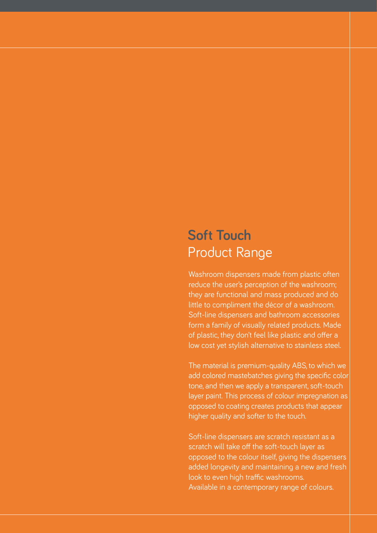# **Soft Touch** Product Range

Washroom dispensers made from plastic often reduce the user's perception of the washroom; they are functional and mass produced and do little to compliment the décor of a washroom. Soft-line dispensers and bathroom accessories form a family of visually related products. Made of plastic, they don't feel like plastic and offer a low cost yet stylish alternative to stainless steel.

The material is premium-quality ABS, to which we add colored mastebatches giving the specific color tone, and then we apply a transparent, soft-touch layer paint. This process of colour impregnation as opposed to coating creates products that appear higher quality and softer to the touch.

Soft-line dispensers are scratch resistant as a scratch will take off the soft-touch layer as opposed to the colour itself, giving the dispensers added longevity and maintaining a new and fresh look to even high traffic washrooms. Available in a contemporary range of colours.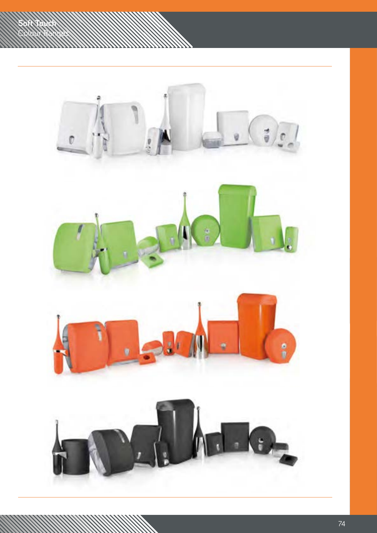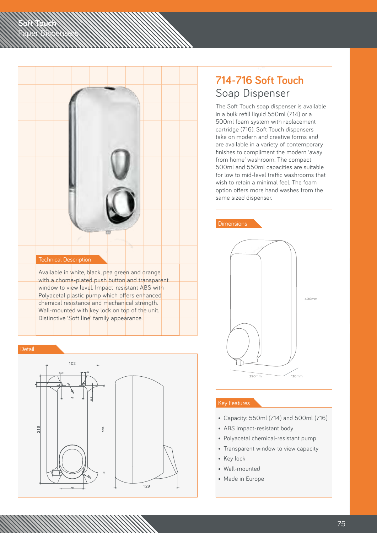

**Soft Touch**

Paper Dispensers



## **714-716 Soft Touch** Soap Dispenser

The Soft Touch soap dispenser is available in a bulk refill liquid 550ml (714) or a 500ml foam system with replacement cartridge (716). Soft Touch dispensers take on modern and creative forms and are available in a variety of contemporary finishes to compliment the modern 'away from home' washroom. The compact 500ml and 550ml capacities are suitable for low to mid-level traffic washrooms that wish to retain a minimal feel. The foam option offers more hand washes from the same sized dispenser.



- Capacity: 550ml (714) and 500ml (716)
- ABS impact-resistant body
- Polyacetal chemical-resistant pump
- Transparent window to view capacity
- Key lock
- Wall-mounted
- Made in Europe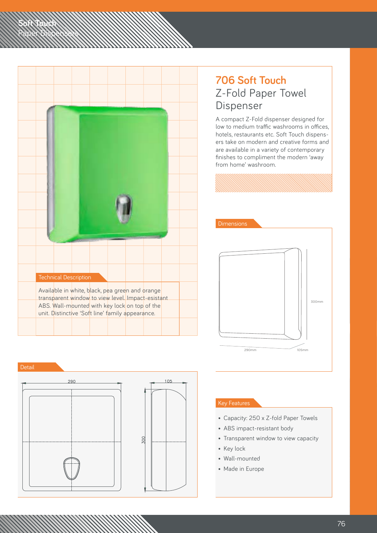

### **706 Soft Touch** Z-Fold Paper Towel Dispenser

A compact Z-Fold dispenser designed for low to medium traffic washrooms in offices, hotels, restaurants etc. Soft Touch dispensers take on modern and creative forms and are available in a variety of contemporary finishes to compliment the modern 'away from home' washroom.



Detail

**Soft Touch**

Paper Dispensers



- Capacity: 250 x Z-fold Paper Towels
- ABS impact-resistant body
- Transparent window to view capacity
- Key lock
- Wall-mounted
- Made in Europe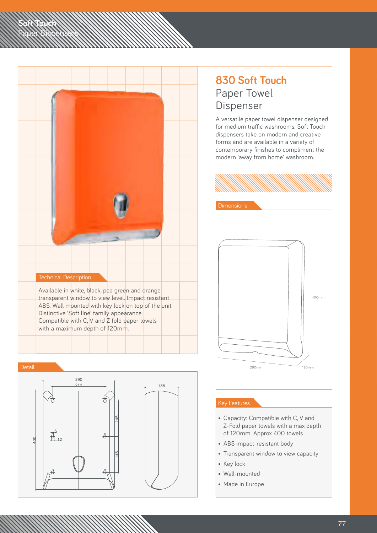



**Soft Touch**

Paper Dispensers



### **830 Soft Touch** Paper Towel Dispenser

A versatile paper towel dispenser designed for medium traffic washrooms. Soft Touch dispensers take on modern and creative forms and are available in a variety of contemporary finishes to compliment the modern 'away from home' washroom.



#### Key Features

- Capacity: Compatible with C, V and Z-Fold paper towels with a max depth of 120mm. Approx 400 towels
- ABS impact-resistant body
- Transparent window to view capacity
- Key lock
- Wall-mounted
- Made in Europe

77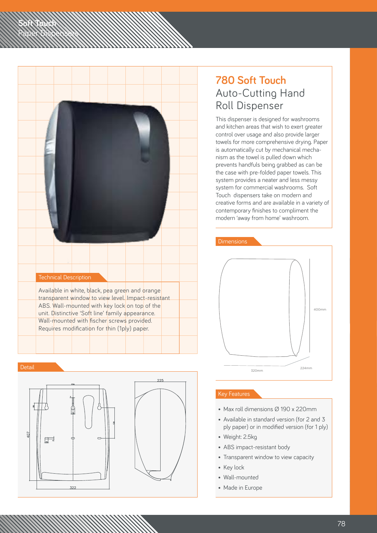|  | <b>Technical Description</b> |  |                                                                                                                                                                                                            |  |  |
|--|------------------------------|--|------------------------------------------------------------------------------------------------------------------------------------------------------------------------------------------------------------|--|--|
|  |                              |  | Available in white, black, pea green and orange<br>transparent window to view level. Impact-resistant<br>ABS. Wall-mounted with key lock on top of the<br>unit. Distinctive 'Soft line' family appearance. |  |  |
|  |                              |  | Wall-mounted with fischer screws provided.<br>Requires modification for thin (1ply) paper.                                                                                                                 |  |  |

**Soft Touch**

Paper Dispensers



### **780 Soft Touch** Auto-Cutting Hand Roll Dispenser

This dispenser is designed for washrooms and kitchen areas that wish to exert greater control over usage and also provide larger towels for more comprehensive drying. Paper is automatically cut by mechanical mechanism as the towel is pulled down which prevents handfuls being grabbed as can be the case with pre-folded paper towels. This system provides a neater and less messy system for commercial washrooms. Soft Touch dispensers take on modern and creative forms and are available in a variety of contemporary finishes to compliment the modern 'away from home' washroom.



- Max roll dimensions Ø 190 x 220mm
- Available in standard version (for 2 and 3 ply paper) or in modified version (for 1 ply)
- Weight: 2.5kg
- ABS impact-resistant body
- Transparent window to view capacity
- Key lock
- Wall-mounted
- Made in Europe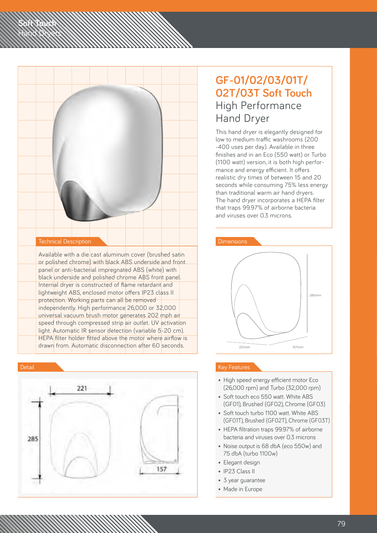

**Soft Touch** Hand Dryers



### **GF-01/02/03/01T/ 02T/03T Soft Touch** High Performance Hand Dryer

This hand dryer is elegantly designed for low to medium traffic washrooms (200 -400 uses per day). Available in three finishes and in an Eco (550 watt) or Turbo (1100 watt) version, it is both high performance and energy efficient. It offers realistic dry times of between 15 and 20 seconds while consuming 75% less energy than traditional warm air hand dryers. The hand dryer incorporates a HEPA filter that traps 99.97% of airborne bacteria and viruses over 0.3 microns.



- High speed energy efficient motor Eco (26,000 rpm) and Turbo (32,000 rpm)
- Soft touch eco 550 watt. White ABS (GF01), Brushed (GF02), Chrome (GF03)
- Soft touch turbo 1100 watt. White ABS (GF01T), Brushed (GF02T), Chrome (GF03T)
- HEPA filtration traps 99.97% of airborne bacteria and viruses over 0.3 microns
- Noise output is 68 dbA (eco 550w) and 75 dbA (turbo 1100w)
- Elegant design
- IP23 Class II
- 3 year guarantee
- Made in Europe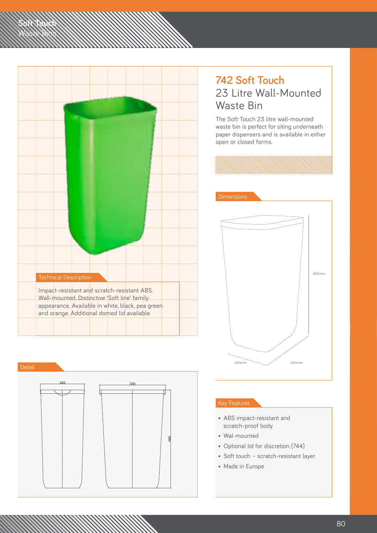

**Soft Touch** Waste Bins



### **742 Soft Touch** 23 Litre Wall-Mounted Waste Bin

The Soft Touch 23 litre wall-mounted waste bin is perfect for siting underneath paper dispensers and is available in either open or closed forms.



- ABS impact-resistant and scratch-proof body
- Wal-mounted
- Optional lid for discretion (744)
- Soft touch scratch-resistant layer
- Made in Europe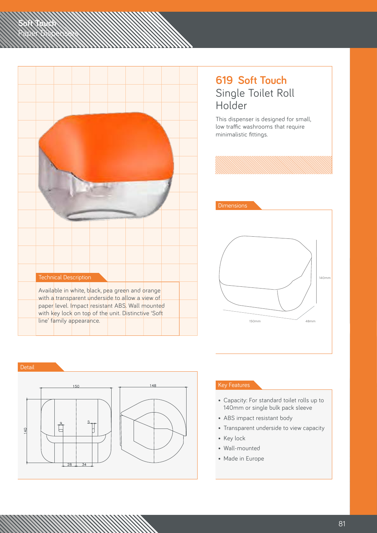| <b>Technical Description</b>                                                                                                                              |  |
|-----------------------------------------------------------------------------------------------------------------------------------------------------------|--|
| Available in white, black, pea green and orange                                                                                                           |  |
| with a transparent underside to allow a view of<br>paper level. Impact resistant ABS. Wall mounted<br>with key lock on top of the unit. Distinctive 'Soft |  |
| line' family appearance.                                                                                                                                  |  |

### **619 Soft Touch** Single Toilet Roll Holder

This dispenser is designed for small, low traffic washrooms that require minimalistic fittings.



Detail

**Soft Touch**

Paper Dispensers



- Capacity: For standard toilet rolls up to 140mm or single bulk pack sleeve
- ABS impact resistant body
- Transparent underside to view capacity
- Key lock
- Wall-mounted
- Made in Europe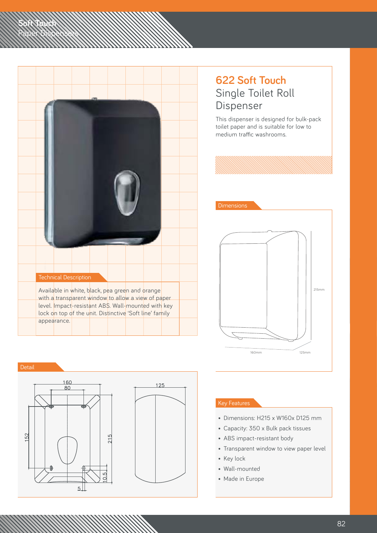|  | <b>Technical Description</b> |                                                                                                                |  |  |  |
|--|------------------------------|----------------------------------------------------------------------------------------------------------------|--|--|--|
|  |                              | Available in white, black, pea green and orange<br>with a transparent window to allow a view of paper          |  |  |  |
|  |                              | level. Impact-resistant AB\$. Wall-mounted with key<br>lock on top of the unit. Distinctive 'Soft line' family |  |  |  |
|  | appearance.                  |                                                                                                                |  |  |  |

### **622 Soft Touch** Single Toilet Roll Dispenser

This dispenser is designed for bulk-pack toilet paper and is suitable for low to medium traffic washrooms.



Detail

**Soft Touch**

Paper Dispensers



- Dimensions: H215 x W160x D125 mm
- Capacity: 350 x Bulk pack tissues
- ABS impact-resistant body
- Transparent window to view paper level
- Key lock
- Wall-mounted
- Made in Europe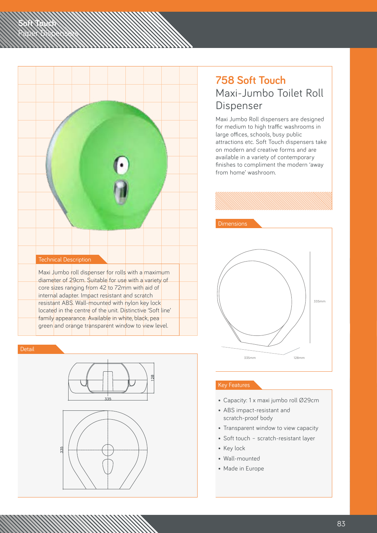

**Soft Touch**

Paper Dispensers



### **758 Soft Touch** Maxi-Jumbo Toilet Roll Dispenser

Maxi Jumbo Roll dispensers are designed for medium to high traffic washrooms in large offices, schools, busy public attractions etc. Soft Touch dispensers take on modern and creative forms and are available in a variety of contemporary finishes to compliment the modern 'away from home' washroom.



- Capacity: 1 x maxi jumbo roll Ø29cm
- ABS impact-resistant and scratch-proof body
- Transparent window to view capacity
- Soft touch scratch-resistant layer
- Key lock
- Wall-mounted
- Made in Europe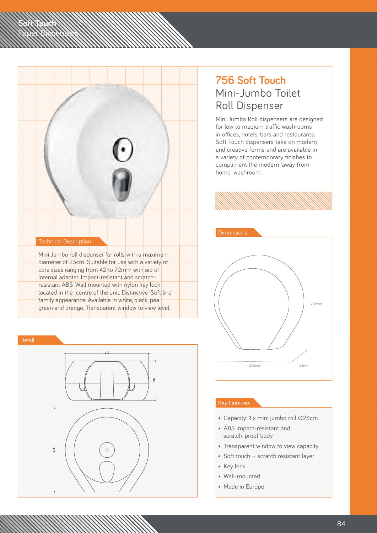

**Soft Touch**

Paper Dispensers



### **756 Soft Touch** Mini-Jumbo Toilet Roll Dispenser

Mini Jumbo Roll dispensers are designed for low to medium traffic washrooms in offices, hotels, bars and restaurants. Soft Touch dispensers take on modern and creative forms and are available in a variety of contemporary finishes to compliment the modern 'away from home' washroom.



- Capacity: 1 x mini jumbo roll Ø23cm
- ABS impact-resistant and scratch-proof body
- Transparent window to view capacity
- Soft touch scratch resistant layer
- Key lock
- Wall-mounted
- Made in Europe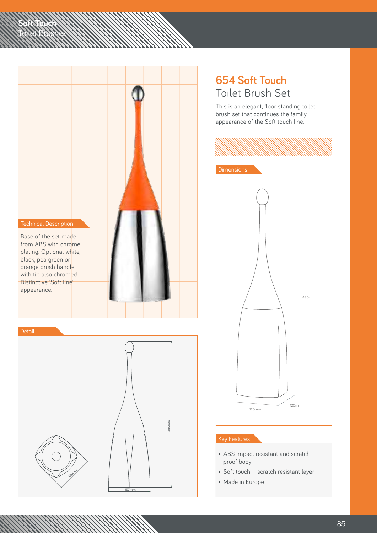

120mm

137mm

**Soft Touch** Toilet Brushes

### **654 Soft Touch** Toilet Brush Set

This is an elegant, floor standing toilet brush set that continues the family appearance of the Soft touch line.



- ABS impact resistant and scratch proof body
- Soft touch scratch resistant layer
- Made in Europe